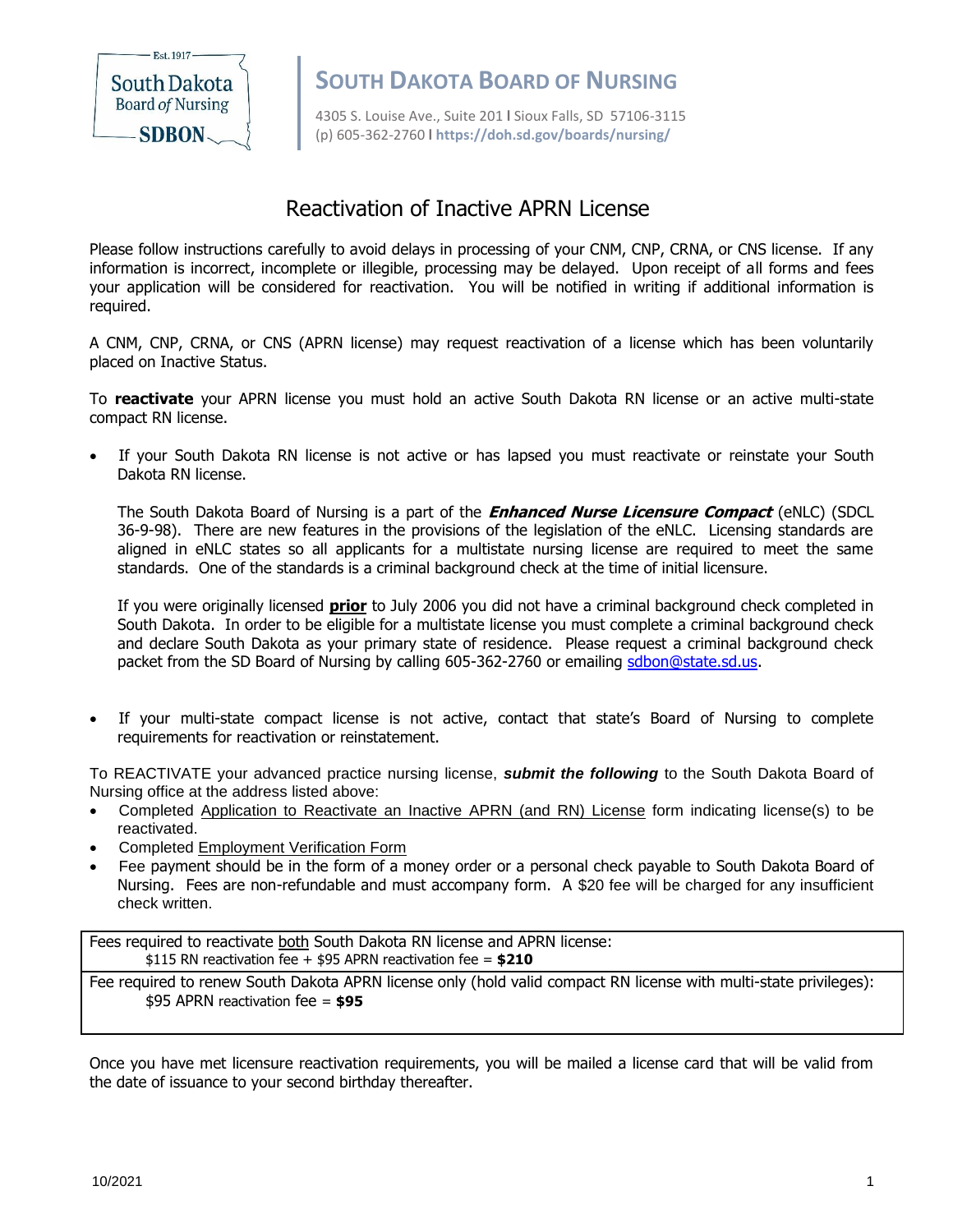

**South Dakota**<br> **SOUTH DAKOTA BOARD OF NURSING**<br> **SOUTH DAKOTA BOARD OF NURSING** 

4305 S. Louise Ave., Suite 201 **l** Sioux Falls, SD 57106-3115 (p) 605-362-2760 **l https://doh.sd.gov/boards/nursing/**

## Reactivation of Inactive APRN License

Please follow instructions carefully to avoid delays in processing of your CNM, CNP, CRNA, or CNS license. If any information is incorrect, incomplete or illegible, processing may be delayed. Upon receipt of all forms and fees your application will be considered for reactivation. You will be notified in writing if additional information is required.

A CNM, CNP, CRNA, or CNS (APRN license) may request reactivation of a license which has been voluntarily placed on Inactive Status.

To **reactivate** your APRN license you must hold an active South Dakota RN license or an active multi-state compact RN license.

If your South Dakota RN license is not active or has lapsed you must reactivate or reinstate your South Dakota RN license.

The South Dakota Board of Nursing is a part of the **Enhanced Nurse Licensure Compact** (eNLC) (SDCL 36-9-98). There are new features in the provisions of the legislation of the eNLC. Licensing standards are aligned in eNLC states so all applicants for a multistate nursing license are required to meet the same standards. One of the standards is a criminal background check at the time of initial licensure.

If you were originally licensed **prior** to July 2006 you did not have a criminal background check completed in South Dakota. In order to be eligible for a multistate license you must complete a criminal background check and declare South Dakota as your primary state of residence. Please request a criminal background check packet from the SD Board of Nursing by calling 605-362-2760 or emailing [sdbon@state.sd.us.](mailto:sdbon@state.sd.us)

If your multi-state compact license is not active, contact that state's Board of Nursing to complete requirements for reactivation or reinstatement.

To REACTIVATE your advanced practice nursing license, *submit the following* to the South Dakota Board of Nursing office at the address listed above:

- Completed Application to Reactivate an Inactive APRN (and RN) License form indicating license(s) to be reactivated.
- Completed Employment Verification Form
- Fee payment should be in the form of a money order or a personal check payable to South Dakota Board of Nursing. Fees are non-refundable and must accompany form. A \$20 fee will be charged for any insufficient check written.

Fees required to reactivate both South Dakota RN license and APRN license: \$115 RN reactivation fee + \$95 APRN reactivation fee = **\$210**

Fee required to renew South Dakota APRN license only (hold valid compact RN license with multi-state privileges): \$95 APRN reactivation fee = **\$95**

Once you have met licensure reactivation requirements, you will be mailed a license card that will be valid from the date of issuance to your second birthday thereafter.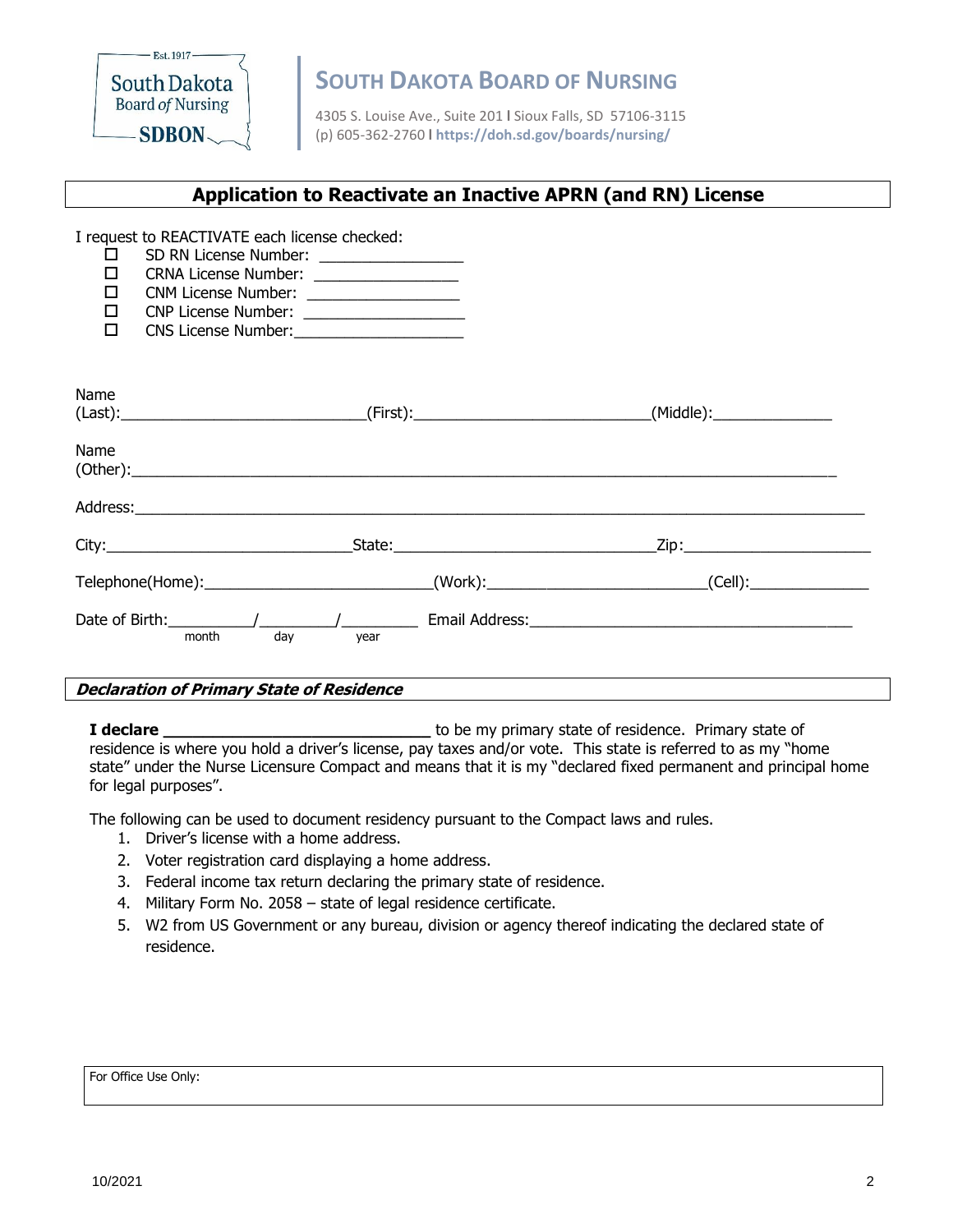

**South Dakota**<br> **SOUTH DAKOTA BOARD OF NURSING**<br> **SOUTH DAKOTA BOARD OF NURSING** 

4305 S. Louise Ave., Suite 201 **l** Sioux Falls, SD 57106-3115 (p) 605-362-2760 **l https://doh.sd.gov/boards/nursing/**

## **Application to Reactivate an Inactive APRN (and RN) License**

| I request to REACTIVATE each license checked:<br>SD RN License Number: ________________<br>□<br>CRNA License Number: __________________<br>0<br>$\Box$<br>CNM License Number: ___________________<br>$\Box$<br>CNP License Number: _____________________<br>$\Box$<br>CNS License Number: _______________________ |                                                                                                      |           |
|-------------------------------------------------------------------------------------------------------------------------------------------------------------------------------------------------------------------------------------------------------------------------------------------------------------------|------------------------------------------------------------------------------------------------------|-----------|
|                                                                                                                                                                                                                                                                                                                   |                                                                                                      |           |
| Name                                                                                                                                                                                                                                                                                                              |                                                                                                      | (Middle): |
| Name                                                                                                                                                                                                                                                                                                              |                                                                                                      |           |
|                                                                                                                                                                                                                                                                                                                   |                                                                                                      |           |
|                                                                                                                                                                                                                                                                                                                   |                                                                                                      |           |
|                                                                                                                                                                                                                                                                                                                   | Telephone(Home):_____________________________(Work):___________________________(Cell):______________ |           |
| day<br>month                                                                                                                                                                                                                                                                                                      | vear                                                                                                 |           |

#### **Declaration of Primary State of Residence**

**I declare** *L* declare *L L L C <i>L C C C <i>C C C C C C C C C C C C C C C C C C C C C C C C C* residence is where you hold a driver's license, pay taxes and/or vote. This state is referred to as my "home state" under the Nurse Licensure Compact and means that it is my "declared fixed permanent and principal home for legal purposes".

The following can be used to document residency pursuant to the Compact laws and rules.

- 1. Driver's license with a home address.
- 2. Voter registration card displaying a home address.
- 3. Federal income tax return declaring the primary state of residence.
- 4. Military Form No. 2058 state of legal residence certificate.
- 5. W2 from US Government or any bureau, division or agency thereof indicating the declared state of residence.

#### For Office Use Only: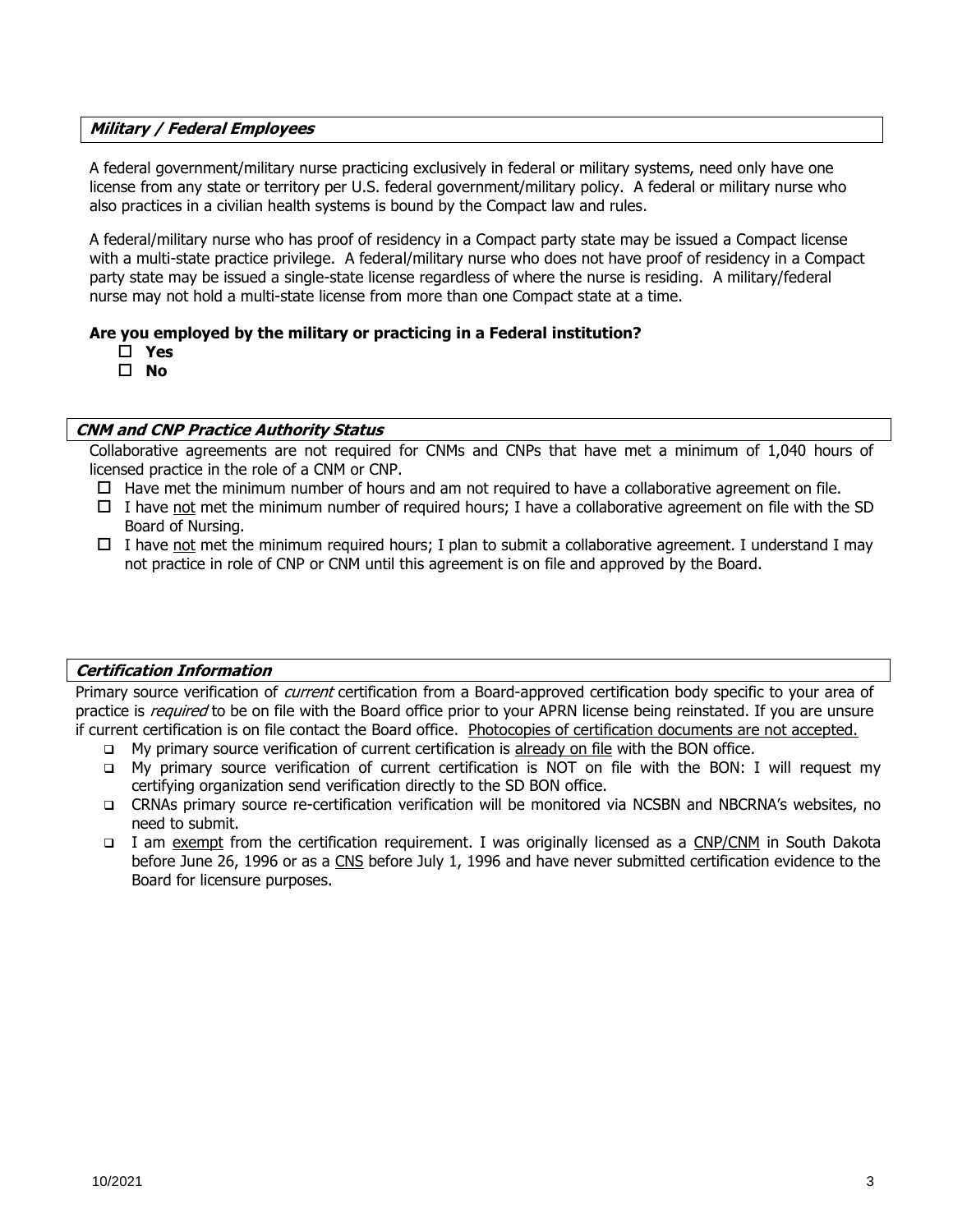#### **Military / Federal Employees**

A federal government/military nurse practicing exclusively in federal or military systems, need only have one license from any state or territory per U.S. federal government/military policy. A federal or military nurse who also practices in a civilian health systems is bound by the Compact law and rules.

A federal/military nurse who has proof of residency in a Compact party state may be issued a Compact license with a multi-state practice privilege. A federal/military nurse who does not have proof of residency in a Compact party state may be issued a single-state license regardless of where the nurse is residing. A military/federal nurse may not hold a multi-state license from more than one Compact state at a time.

#### **Are you employed by the military or practicing in a Federal institution?**

- **Yes**
- **No**

#### **CNM and CNP Practice Authority Status**

Collaborative agreements are not required for CNMs and CNPs that have met a minimum of 1,040 hours of licensed practice in the role of a CNM or CNP.

- $\Box$  Have met the minimum number of hours and am not required to have a collaborative agreement on file.
- I have not met the minimum number of required hours; I have a collaborative agreement on file with the SD Board of Nursing.
- $\Box$  I have not met the minimum required hours; I plan to submit a collaborative agreement. I understand I may not practice in role of CNP or CNM until this agreement is on file and approved by the Board.

#### **Certification Information**

Primary source verification of current certification from a Board-approved certification body specific to your area of practice is *required* to be on file with the Board office prior to your APRN license being reinstated. If you are unsure if current certification is on file contact the Board office. Photocopies of certification documents are not accepted.

- ❑ My primary source verification of current certification is already on file with the BON office.
- ❑ My primary source verification of current certification is NOT on file with the BON: I will request my certifying organization send verification directly to the SD BON office.
- ❑ CRNAs primary source re-certification verification will be monitored via NCSBN and NBCRNA's websites, no need to submit.
- ❑ I am exempt from the certification requirement. I was originally licensed as a CNP/CNM in South Dakota before June 26, 1996 or as a CNS before July 1, 1996 and have never submitted certification evidence to the Board for licensure purposes.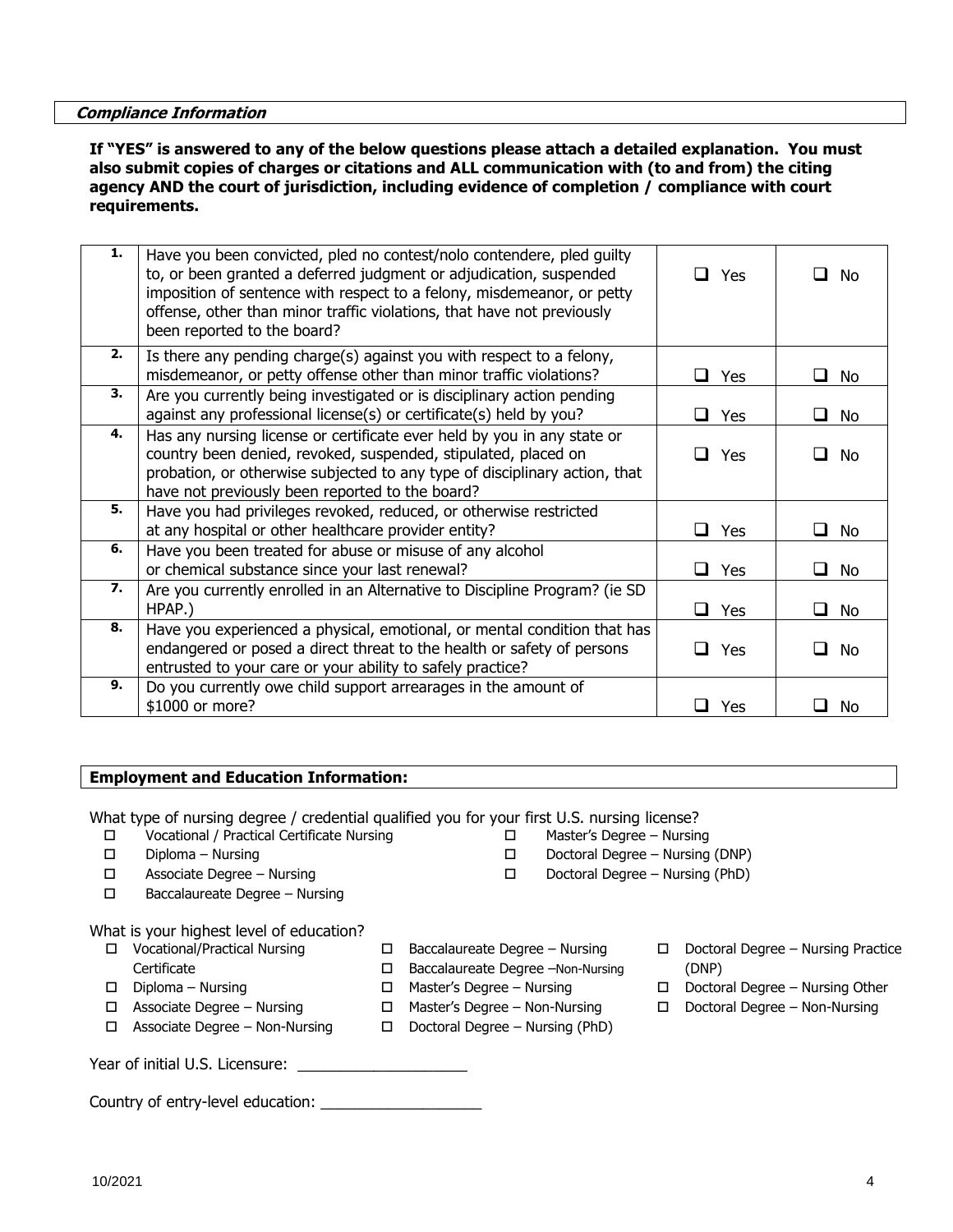**Compliance Information**

#### **If "YES" is answered to any of the below questions please attach a detailed explanation. You must also submit copies of charges or citations and ALL communication with (to and from) the citing agency AND the court of jurisdiction, including evidence of completion / compliance with court requirements.**

| 1.               | Have you been convicted, pled no contest/nolo contendere, pled guilty<br>to, or been granted a deferred judgment or adjudication, suspended<br>imposition of sentence with respect to a felony, misdemeanor, or petty<br>offense, other than minor traffic violations, that have not previously<br>been reported to the board? | $\Box$ Yes   | l 1<br>No.          |
|------------------|--------------------------------------------------------------------------------------------------------------------------------------------------------------------------------------------------------------------------------------------------------------------------------------------------------------------------------|--------------|---------------------|
| 2.               | Is there any pending charge(s) against you with respect to a felony,<br>misdemeanor, or petty offense other than minor traffic violations?                                                                                                                                                                                     | $\Box$ Yes   | ⊔ No                |
| 3.               | Are you currently being investigated or is disciplinary action pending<br>against any professional license(s) or certificate(s) held by you?                                                                                                                                                                                   | <b>□</b> Yes | ∐ No                |
| 4.               | Has any nursing license or certificate ever held by you in any state or<br>country been denied, revoked, suspended, stipulated, placed on<br>probation, or otherwise subjected to any type of disciplinary action, that<br>have not previously been reported to the board?                                                     | $\Box$ Yes   | I<br>No             |
| 5.               | Have you had privileges revoked, reduced, or otherwise restricted<br>at any hospital or other healthcare provider entity?                                                                                                                                                                                                      | $\Box$ Yes   | ⊔ No                |
| 6.               | Have you been treated for abuse or misuse of any alcohol<br>or chemical substance since your last renewal?                                                                                                                                                                                                                     | Yes<br>ப     | ⊔.<br>No            |
| $\overline{z}$ . | Are you currently enrolled in an Alternative to Discipline Program? (ie SD<br>HPAP.)                                                                                                                                                                                                                                           | $\Box$ Yes   | ப<br>No             |
| 8.               | Have you experienced a physical, emotional, or mental condition that has<br>endangered or posed a direct threat to the health or safety of persons<br>entrusted to your care or your ability to safely practice?                                                                                                               | $\Box$ Yes   | No.<br>$\mathbf{I}$ |
| 9.               | Do you currently owe child support arrearages in the amount of<br>\$1000 or more?                                                                                                                                                                                                                                              | Yes<br>ப     | No                  |

 $\square$  Baccalaureate Degree – Nursing □ Baccalaureate Degree –Non-Nursing

□ Master's Degree – Nursing □ Master's Degree – Non-Nursing  $\Box$  Doctoral Degree – Nursing (PhD)

#### **Employment and Education Information:**

What type of nursing degree / credential qualified you for your first U.S. nursing license?

- Vocational / Practical Certificate Nursing
- $\square$  Diploma Nursing
- Associate Degree Nursing
- Baccalaureate Degree Nursing

What is your highest level of education?

- Vocational/Practical Nursing
- **Certificate**
- $\square$  Diploma Nursing
- Associate Degree Nursing
- Associate Degree Non-Nursing

Year of initial U.S. Licensure: \_

Country of entry-level education: \_\_\_\_\_\_\_\_\_\_\_\_\_\_\_\_\_\_\_

- Master's Degree Nursing
	- Doctoral Degree Nursing (DNP)
	- $\square$  Doctoral Degree Nursing (PhD)
		- Doctoral Degree Nursing Practice
		- (DNP)  $\Box$  Doctoral Degree – Nursing Other
		- Doctoral Degree Non-Nursing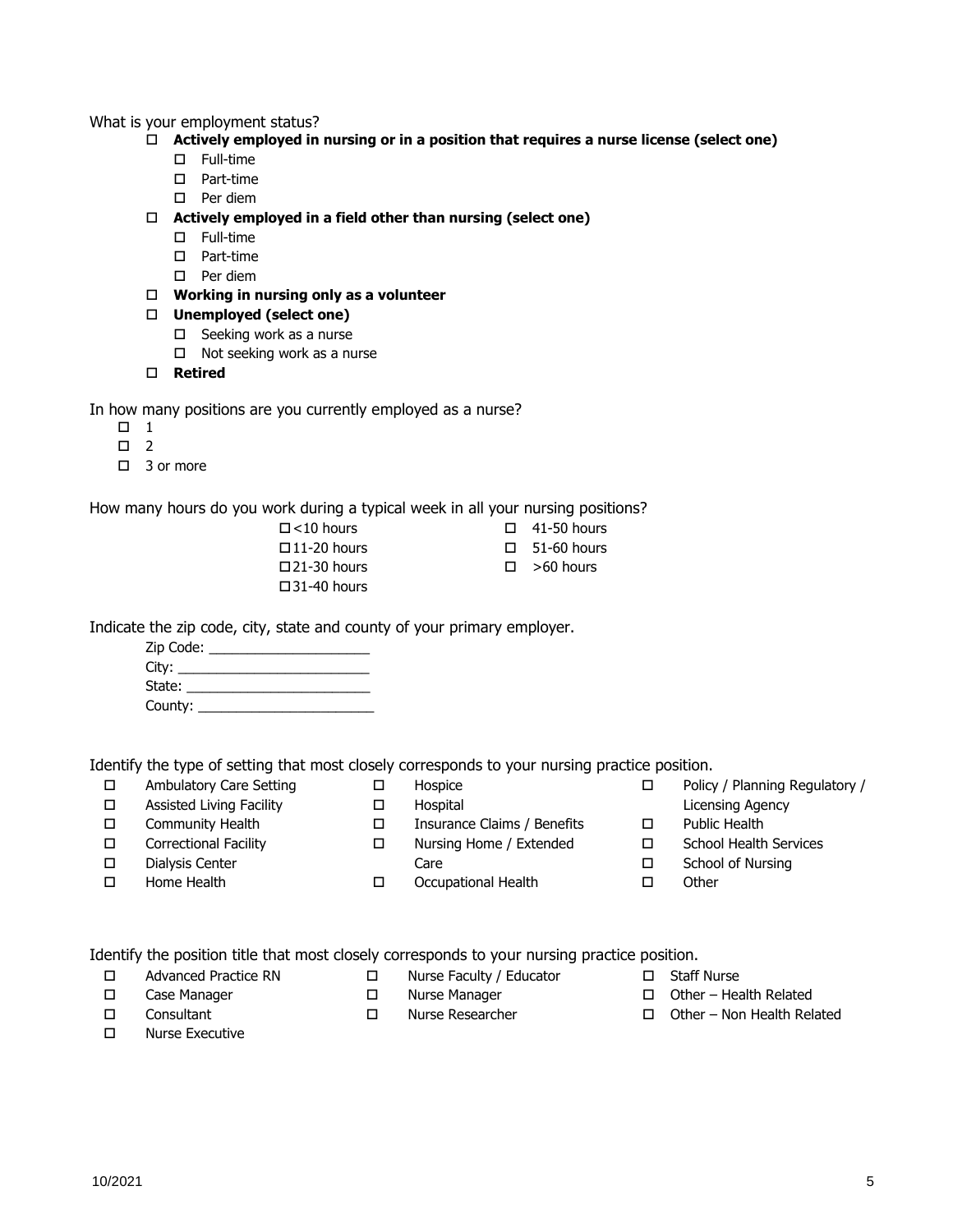#### What is your employment status?

- **Actively employed in nursing or in a position that requires a nurse license (select one)**
	- Full-time
	- D Part-time
	- □ Per diem
- **Actively employed in a field other than nursing (select one)**
	- Full-time
	- D Part-time
	- $\square$  Per diem
- **Working in nursing only as a volunteer**
- **Unemployed (select one)**
	- $\square$  Seeking work as a nurse
	- $\Box$  Not seeking work as a nurse
- **Retired**

In how many positions are you currently employed as a nurse?

- $\Box$  1
- $\Box$  2
- $\Box$  3 or more

How many hours do you work during a typical week in all your nursing positions?

 $\Box$  <10 hours  $\square$ 11-20 hours  $\square$ 21-30 hours  $\square$ 31-40 hours

- $\Box$  41-50 hours
- $\Box$  51-60 hours
- $\square$  >60 hours

Indicate the zip code, city, state and county of your primary employer.

| Zip Code: __ |  |
|--------------|--|
|              |  |
| State: ___   |  |
| County:      |  |

Identify the type of setting that most closely corresponds to your nursing practice position.

- □ Ambulatory Care Setting □ Assisted Living Facility
- Hospice Hospital
- Community Health

□ Home Health

- Insurance Claims / Benefits Nursing Home / Extended
- Correctional Facility Dialysis Center
- Care
	- Occupational Health
- Policy / Planning Regulatory / Licensing Agency
- □ Public Health
- □ School Health Services
- □ School of Nursing
- □ Other

Identify the position title that most closely corresponds to your nursing practice position.

- Advanced Practice RN
- 

 Case Manager Consultant

- 
- Nurse Executive
- □ Nurse Faculty / Educator
- D Nurse Manager
- Nurse Researcher
- □ Staff Nurse
- $\Box$  Other Health Related
- $\Box$  Other Non Health Related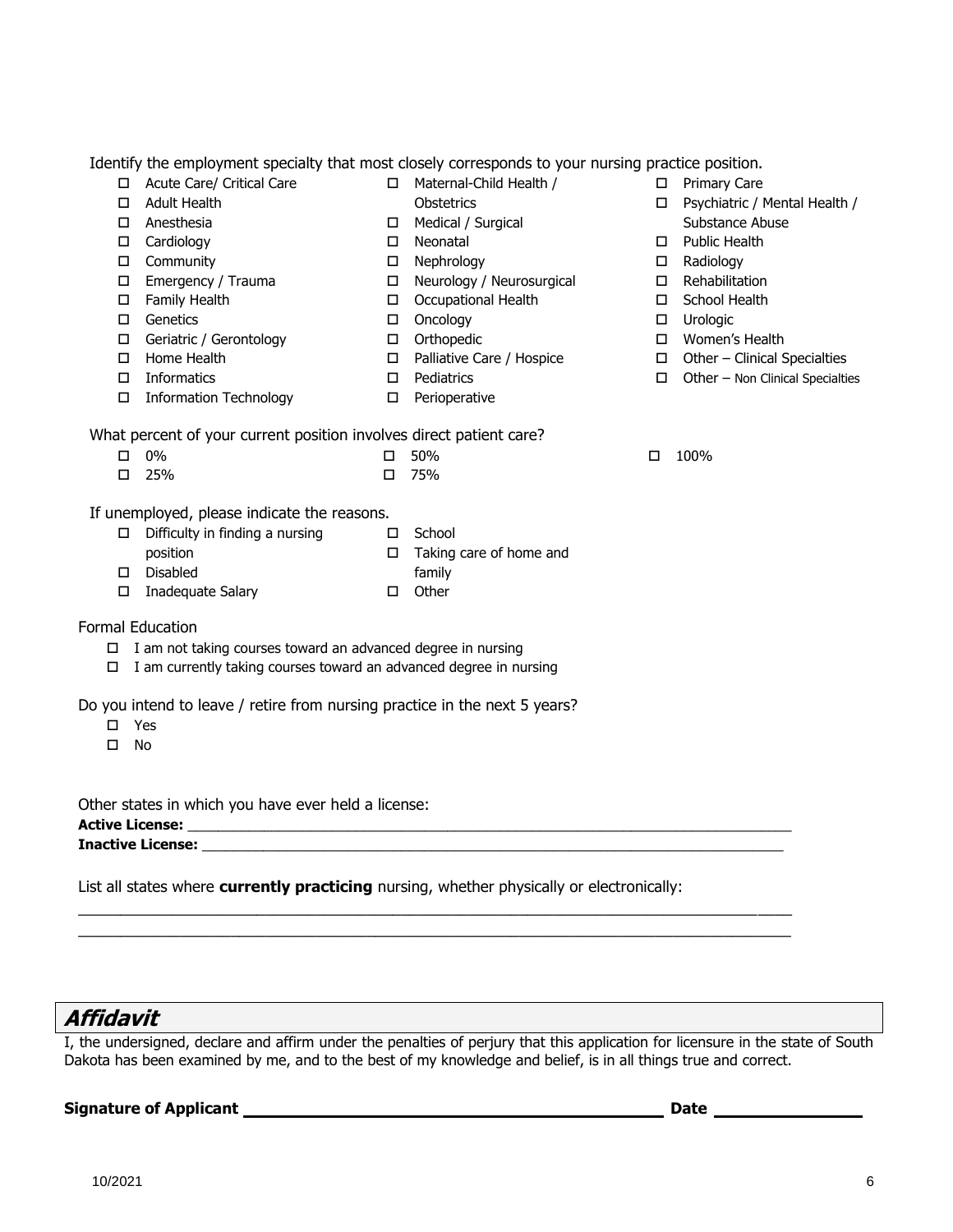|                        | Identify the employment specialty that most closely corresponds to your nursing practice position. |        |                           |        |                                  |
|------------------------|----------------------------------------------------------------------------------------------------|--------|---------------------------|--------|----------------------------------|
| □                      | Acute Care/ Critical Care                                                                          | $\Box$ | Maternal-Child Health /   | □      | Primary Care                     |
| □                      | <b>Adult Health</b>                                                                                |        | Obstetrics                | □      | Psychiatric / Mental Health /    |
| □                      | Anesthesia                                                                                         | 0      | Medical / Surgical        |        | Substance Abuse                  |
| □                      | Cardiology                                                                                         | 0      | Neonatal                  | □      | <b>Public Health</b>             |
| $\Box$                 | Community                                                                                          | $\Box$ | Nephrology                |        | Radiology                        |
| $\Box$                 | Emergency / Trauma                                                                                 |        | Neurology / Neurosurgical | □<br>□ | Rehabilitation                   |
|                        |                                                                                                    | $\Box$ |                           |        | School Health                    |
| $\Box$                 | Family Health                                                                                      | $\Box$ | Occupational Health       | □      |                                  |
| $\Box$                 | Genetics                                                                                           | $\Box$ | Oncology                  | $\Box$ | Urologic                         |
| $\Box$                 | Geriatric / Gerontology                                                                            | $\Box$ | Orthopedic                | $\Box$ | Women's Health                   |
| □                      | Home Health                                                                                        | $\Box$ | Palliative Care / Hospice | П      | Other - Clinical Specialties     |
| □                      | Informatics                                                                                        | $\Box$ | Pediatrics                | □      | Other - Non Clinical Specialties |
| $\Box$                 | <b>Information Technology</b>                                                                      | П.     | Perioperative             |        |                                  |
|                        | What percent of your current position involves direct patient care?                                |        |                           |        |                                  |
|                        | 0%                                                                                                 | □      | 50%                       | □      | 100%                             |
|                        | 25%                                                                                                | □      | 75%                       |        |                                  |
|                        | If unemployed, please indicate the reasons.                                                        |        |                           |        |                                  |
| 0                      | Difficulty in finding a nursing                                                                    | $\Box$ | School                    |        |                                  |
|                        | position                                                                                           | 0      | Taking care of home and   |        |                                  |
| □                      | Disabled                                                                                           |        | family                    |        |                                  |
| □                      | Inadequate Salary                                                                                  | $\Box$ | Other                     |        |                                  |
|                        | Formal Education                                                                                   |        |                           |        |                                  |
| 0                      | I am not taking courses toward an advanced degree in nursing                                       |        |                           |        |                                  |
| □                      | I am currently taking courses toward an advanced degree in nursing                                 |        |                           |        |                                  |
|                        |                                                                                                    |        |                           |        |                                  |
|                        | Do you intend to leave / retire from nursing practice in the next 5 years?                         |        |                           |        |                                  |
| □                      | Yes                                                                                                |        |                           |        |                                  |
| $\Box$                 | No                                                                                                 |        |                           |        |                                  |
|                        |                                                                                                    |        |                           |        |                                  |
|                        | Other states in which you have ever held a license:                                                |        |                           |        |                                  |
| <b>Active License:</b> |                                                                                                    |        |                           |        |                                  |

List all states where **currently practicing** nursing, whether physically or electronically:

**Inactive License:** \_\_\_\_\_\_\_\_\_\_\_\_\_\_\_\_\_\_\_\_\_\_\_\_\_\_\_\_\_\_\_\_\_\_\_\_\_\_\_\_\_\_\_\_\_\_\_\_\_\_\_\_\_\_\_\_\_\_\_\_\_\_\_\_\_\_\_\_\_\_\_\_\_\_\_\_

 $\_$  , and the set of the set of the set of the set of the set of the set of the set of the set of the set of the set of the set of the set of the set of the set of the set of the set of the set of the set of the set of th  $\_$  , and the set of the set of the set of the set of the set of the set of the set of the set of the set of the set of the set of the set of the set of the set of the set of the set of the set of the set of the set of th

# **Affidavit**

I, the undersigned, declare and affirm under the penalties of perjury that this application for licensure in the state of South Dakota has been examined by me, and to the best of my knowledge and belief, is in all things true and correct.

# **Signature of Applicant Date**